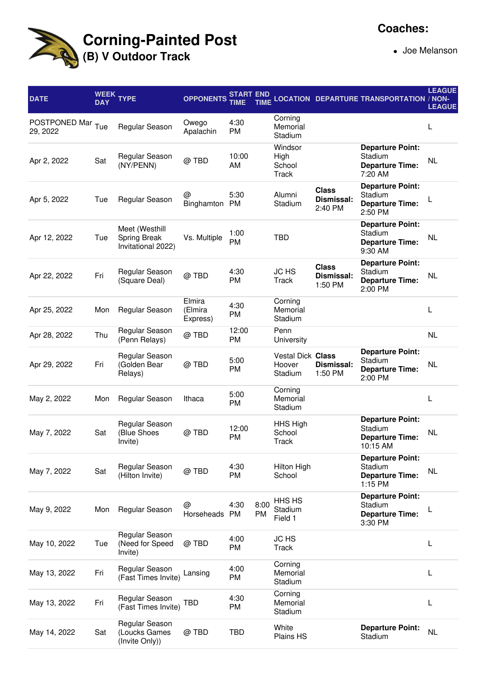

Joe Melanson

| <b>DATE</b>                   | WEEK<br><b>DAY</b> | <b>TYPE</b>                                          | <b>OPPONENTS</b>              | START END<br>TIME  | <b>TIME</b> |                                               |                                       | LOCATION DEPARTURE TRANSPORTATION / NON-                                 | <b>LEAGUE</b><br><b>LEAGUE</b> |
|-------------------------------|--------------------|------------------------------------------------------|-------------------------------|--------------------|-------------|-----------------------------------------------|---------------------------------------|--------------------------------------------------------------------------|--------------------------------|
| POSTPONED Mar Tue<br>29, 2022 |                    | Regular Season                                       | Owego<br>Apalachin            | 4:30<br><b>PM</b>  |             | Corning<br>Memorial<br>Stadium                |                                       |                                                                          | L                              |
| Apr 2, 2022                   | Sat                | Regular Season<br>(NY/PENN)                          | @TBD                          | 10:00<br>AM        |             | Windsor<br>High<br>School<br>Track            |                                       | <b>Departure Point:</b><br>Stadium<br><b>Departure Time:</b><br>7:20 AM  | <b>NL</b>                      |
| Apr 5, 2022                   | Tue                | Regular Season                                       | @<br>Binghamton               | 5:30<br><b>PM</b>  |             | Alumni<br>Stadium                             | <b>Class</b><br>Dismissal:<br>2:40 PM | <b>Departure Point:</b><br>Stadium<br><b>Departure Time:</b><br>2:50 PM  |                                |
| Apr 12, 2022                  | Tue                | Meet (Westhill<br>Spring Break<br>Invitational 2022) | Vs. Multiple                  | 1:00<br>PM         |             | <b>TBD</b>                                    |                                       | <b>Departure Point:</b><br>Stadium<br><b>Departure Time:</b><br>9:30 AM  | <b>NL</b>                      |
| Apr 22, 2022                  | Fri                | Regular Season<br>(Square Deal)                      | @TBD                          | 4:30<br><b>PM</b>  |             | <b>JC HS</b><br>Track                         | <b>Class</b><br>Dismissal:<br>1:50 PM | <b>Departure Point:</b><br>Stadium<br><b>Departure Time:</b><br>2:00 PM  | NL                             |
| Apr 25, 2022                  | Mon                | Regular Season                                       | Elmira<br>(Elmira<br>Express) | 4:30<br><b>PM</b>  |             | Corning<br>Memorial<br>Stadium                |                                       |                                                                          | L                              |
| Apr 28, 2022                  | Thu                | Regular Season<br>(Penn Relays)                      | @TBD                          | 12:00<br><b>PM</b> |             | Penn<br>University                            |                                       |                                                                          | <b>NL</b>                      |
| Apr 29, 2022                  | Fri                | Regular Season<br>(Golden Bear<br>Relays)            | @ TBD                         | 5:00<br>PM         |             | <b>Vestal Dick Class</b><br>Hoover<br>Stadium | Dismissal:<br>1:50 PM                 | <b>Departure Point:</b><br>Stadium<br><b>Departure Time:</b><br>2:00 PM  | <b>NL</b>                      |
| May 2, 2022                   | Mon                | Regular Season                                       | Ithaca                        | 5:00<br>PM         |             | Corning<br>Memorial<br>Stadium                |                                       |                                                                          | L                              |
| May 7, 2022                   | Sat                | Regular Season<br>(Blue Shoes<br>Invite)             | @ TBD                         | 12:00<br><b>PM</b> |             | HHS High<br>School<br>Track                   |                                       | <b>Departure Point:</b><br>Stadium<br><b>Departure Time:</b><br>10:15 AM | <b>NL</b>                      |
| May 7, 2022                   | Sat                | Regular Season<br>(Hilton Invite)                    | @ TBD                         | 4:30<br><b>PM</b>  |             | Hilton High<br>School                         |                                       | <b>Departure Point:</b><br>Stadium<br><b>Departure Time:</b><br>1:15 PM  | <b>NL</b>                      |
| May 9, 2022                   | Mon                | Regular Season                                       | @<br>Horseheads PM            | 4:30               | 8:00<br>PM  | HHS HS<br>Stadium<br>Field 1                  |                                       | <b>Departure Point:</b><br>Stadium<br><b>Departure Time:</b><br>3:30 PM  |                                |
| May 10, 2022                  | Tue                | Regular Season<br>(Need for Speed<br>Invite)         | @ TBD                         | 4:00<br><b>PM</b>  |             | <b>JC HS</b><br>Track                         |                                       |                                                                          | L                              |
| May 13, 2022                  | Fri                | Regular Season<br>(Fast Times Invite)                | Lansing                       | 4:00<br><b>PM</b>  |             | Corning<br>Memorial<br>Stadium                |                                       |                                                                          | L                              |
| May 13, 2022                  | Fri                | Regular Season<br>(Fast Times Invite)                | <b>TBD</b>                    | 4:30<br><b>PM</b>  |             | Corning<br>Memorial<br>Stadium                |                                       |                                                                          | L                              |
| May 14, 2022                  | Sat                | Regular Season<br>(Loucks Games<br>(Invite Only))    | @ TBD                         | <b>TBD</b>         |             | White<br><b>Plains HS</b>                     |                                       | <b>Departure Point:</b><br>Stadium                                       | NL                             |